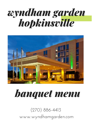# *wyndham garden hopkinsville*



# *banquet menu*

(270) 886-4413 www.wyndhamgarden.com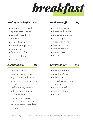*breakfast*

### *healthy start buffet \$12*

- oatmeal, served with appropriate toppings
- yogurt, served with granola
- fresh, sliced fruit
- scrambled egg whites
- wheat toast
- Royal cup coffee
- iced or hot tea
- water

#### *enhancements \$5*

- breakfast burritos
- breakfast sandwiches eggs, cheese and choice of meat served on a fresh biscuit
- waffle station, complete with assorted toppings
- omelet station our Chef prepares custom omelets in your banquet room, attendant fee applies

# *southern buffet \$14*

- 
- scrambled eggs
- bacon and sausage
- breakfast potatoes
- country grits
- biscuits and gravy
- Royal cup coffee
- iced or hot tea
- orange juice
- water

# *reveille buffet \$10*

- assorted muffins
- assorted Danish
- whole fruit
- yogurt, served with granola
- Royal cup coffee
- iced or hot tea
- water

breakfast prices are per person, subject to a 20% service charge and 6% sales tax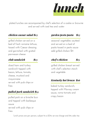

plated lunches are accompanied by chef's selection of a cookie or brownie and served with iced tea and water

#### *chicken caesar salad \$13*

grilled chicken served on a bed of fresh romaine lettuce, tossed with Caesar dressing and garnished with grated parmesan cheese

#### *club sandwich \$13*

sliced ham and turkey sandwich topped with bacon, lettuce, tomato, cheese, mustard and mayonnaise served with pub chips or fries

# *pulled pork sandwich \$14*

pulled pork on a brioche bun and topped with barbeque sauce served with pub chips or fries

# *garden pesto pasta \$13*

seasonal vegetables sautéed and served on a bed of pasta tossed in pesto sauce add grilled chicken \$4

# *chef's chicken \$15*

grilled chicken breast served with chef's selection starch and vegetable

# *Kentucky hot brown \$16*

baked turkey sandwich, topped with Mornay cream sauce, roma tomato and crispy bacon

lunch prices are per person, subject to a 20% service charge and 6% sales tax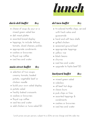

# *davis deli buffet \$14*

- choice of soup du jour or a mixed green salad bar
- deli meat platter
- assorted bread display
- toppings, to include: lettuce, tomato, sliced cheeses, pickles
- appropriate condiments
- cookies or brownies
- Royal cup coffee
- iced tea and water

#### *main street buffet \$15*

- selection of two soups: creamy tomato, loaded potato, vegetable beef or chicken noodle
- build your own salad display
- potato salad
- freshly baked croissants
- cookies or brownies
- Royal cup coffee
- iced tea and water
- add chicken or tuna salad \$3

# *del taco buffet \$15*

- tri-colored tortilla chips, served with fresh salsa and guacamole
- hard and soft taco shells
- grilled chicken
- seasoned ground beef
- appropriate toppings
- yellow rice
- black beans
- churros
- iced tea and water
- upgrade to fajita beef \$3

# *backyard buffet \$13*

- mixed green salad
- coleslaw
- all beef hot dogs
- classic buns
- pub chips or fries
- assorted toppings & condiments
- cookies or brownies
- iced tea and water

lunch prices are per person, subject to a 20% service charge and 6% sales tax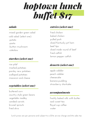

#### *salads*

cold salad (select one): -potato -pasta -button mushroom -coleslaw mixed garden green salad

#### *starches (select one)*

rice pilaf mashed potatoes parsley new potatoes scalloped potatoes macaroni and cheese

# *vegetables (select one)*

buttered corn country style green beans vegetable medley candied carrots brussel sprouts fried okra

# *entrées (select one)*

fried chicken baked chicken pulled pork sliced Kentucky pit ham beef tips sliced inside round of beef fried catfish lemon pepper catfish

# *desserts (select one)*

apple cobbler peach cobbler cheesecake banana pudding strawberry shortcake

# *accompaniments*

freshly baked rolls with butter iced sweet tea Royal cup coffee water

lunch prices are per persona and subject to a 20% service charge and 6% sales tax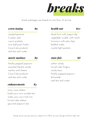

break packages are based on one hour of service

#### *extra inning \$9*

roasted peanuts Cracker Jack warm pretzels mini ball park franks Coca-Cola products iced tea and water

#### *movie matinee \$9*

freshly popped popcorn assorted theatre candy nachos and cheese Coca-Cola products iced tea and water

#### *enhancements \$4*

snow cone station build your own sundae bar make your own trail mix funnel cake station gourmet popcorn bar

#### *health nut \$10*

sliced fruit with yogurt dip vegetable crudité with ranch hummus with pita chips bottled water crystal light packets

# *state fair \$8*

cotton candy funnel cake fingers candy bars freshly popped popcorn lemonade iced tea and water

break prices are per person, subject to a 20% service charge and 6% sales tax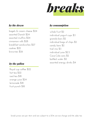*breaks*

#### *by the dozen*

bagels & cream cheese \$24 assorted Danish \$24 assorted muffins \$24 cinnamon rolls \$28 breakfast sandwiches \$27 cookies \$22 brownies \$26

#### *by the gallon*

Royal cup coffee \$22 hot tea \$22 iced tea \$18 orange juice \$24 lemonade \$18 fruit punch \$18

#### *by consumption*

whole fruit \$2 individual yogurt cups \$3 granola bars \$2 individual bags of chips \$2 candy bars \$2 trail mix \$3 individual juice \$2.5 Coca-Cola cans \$2 bottled water \$2 assorted energy drinks \$4

break prices are per item and are subject to a 20% service charge and 6% sales tax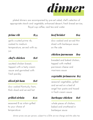

plated dinners are accompanied by pre-set salad, chef's selection of appropriate starch and vegetable, enhanced dessert, fresh bread service, Royal cup coffee, iced tea and water

# *prime rib \$34*

garlic crusted prime rib, cooked to medium temperature, served with au jus

# *chef's chicken \$18*

sautéed chicken breast, topped with a tasty cream sauce and garnished with fresh parsley

# *sliced pit ham \$18*

slow cooked Kentucky ham, thick sliced and served hot

# *grilled sirloin \$26*

seasoned 8 oz sirloin grilled to your choice of temperature

# *beef brisket \$19*

slow cooked and served thin sliced with barbeque sauce on the side

# *chicken parmesan \$19*

breaded and baked chicken, topped with melted parmesan cheese and marinara sauce

# *vegetable primavera \$17*

seasonal vegetables, grilled and served on a bed of angel hair pasta and tossed in fresh cream sauce

# *barbeque chicken \$18*

whole pieces of chicken, baked and smothered in barbeque sauce

dinner prices are per person, subject to a 20% service charge and 6% sales tax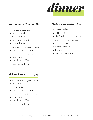

### *screaming eagle buffet \$25*

- garden mixed greens
- potato salad
- fried chicken
- barbeque pulled pork
- baked beans
- southern style green beans
- macaroni and cheese
- warm cornbread muffins
- Derby pie
- Royal cup coffee
- iced tea and water

# *fish fry buffet \$23*

- garden mixed green salad
- coleslaw
- fried catfish
- macaroni and cheese
- southern style green beans
- hush puppies
- Royal cup coffee
- iced tea and water

# *that's amore buffet \$21*

- Caesar salad
- grilled chicken
- chef's selection two pastas
- meaty marinara sauce
- alfredo sauce
- baked lasagna
- tiramisu
- iced tea and water

dinner prices are per person, subject to a 20% service charge and 6% sales tax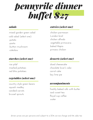

#### *salads*

cold salad (select one): -potato -pasta -button mushroom -coleslaw mixed garden green salad

### *starches (select one)*

rice pilaf mashed potatoes red bliss potatoes

# *vegetables (select one)*

country style green beans squash medley candied carrots brussel sprouts

# *entrées (select one)*

chicken parmesan London broil chicken alfredo vegetable primavera baked tilapia princess chicken

# *desserts (select one)*

sliced cheesecake chocolate lover's cake carrot cake key lime pie

#### *accompaniments*

freshly baked rolls with butter iced sweet tea Royal cup coffee water